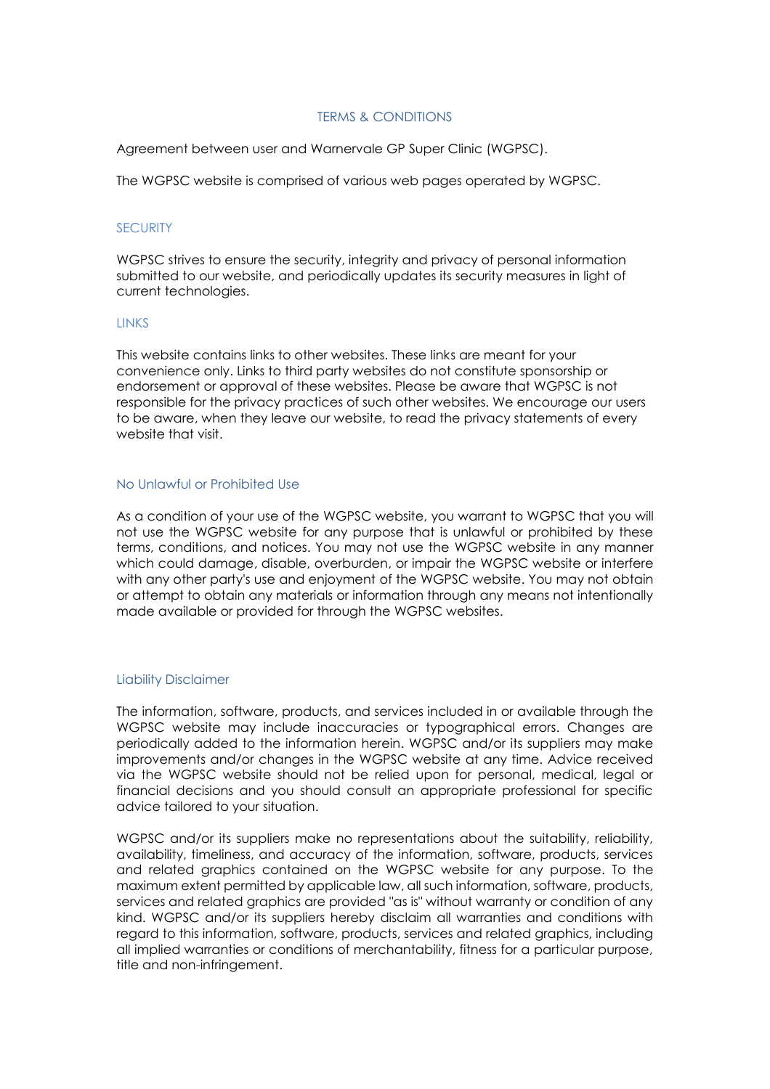# TERMS & CONDITIONS

Agreement between user and Warnervale GP Super Clinic (WGPSC).

The WGPSC website is comprised of various web pages operated by WGPSC.

## **SECURITY**

WGPSC strives to ensure the security, integrity and privacy of personal information submitted to our website, and periodically updates its security measures in light of current technologies.

#### **LINKS**

This website contains links to other websites. These links are meant for your convenience only. Links to third party websites do not constitute sponsorship or endorsement or approval of these websites. Please be aware that WGPSC is not responsible for the privacy practices of such other websites. We encourage our users to be aware, when they leave our website, to read the privacy statements of every website that visit.

### No Unlawful or Prohibited Use

As a condition of your use of the WGPSC website, you warrant to WGPSC that you will not use the WGPSC website for any purpose that is unlawful or prohibited by these terms, conditions, and notices. You may not use the WGPSC website in any manner which could damage, disable, overburden, or impair the WGPSC website or interfere with any other party's use and enjoyment of the WGPSC website. You may not obtain or attempt to obtain any materials or information through any means not intentionally made available or provided for through the WGPSC websites.

### Liability Disclaimer

The information, software, products, and services included in or available through the WGPSC website may include inaccuracies or typographical errors. Changes are periodically added to the information herein. WGPSC and/or its suppliers may make improvements and/or changes in the WGPSC website at any time. Advice received via the WGPSC website should not be relied upon for personal, medical, legal or financial decisions and you should consult an appropriate professional for specific advice tailored to your situation.

WGPSC and/or its suppliers make no representations about the suitability, reliability, availability, timeliness, and accuracy of the information, software, products, services and related graphics contained on the WGPSC website for any purpose. To the maximum extent permitted by applicable law, all such information, software, products, services and related graphics are provided "as is" without warranty or condition of any kind. WGPSC and/or its suppliers hereby disclaim all warranties and conditions with regard to this information, software, products, services and related graphics, including all implied warranties or conditions of merchantability, fitness for a particular purpose, title and non-infringement.